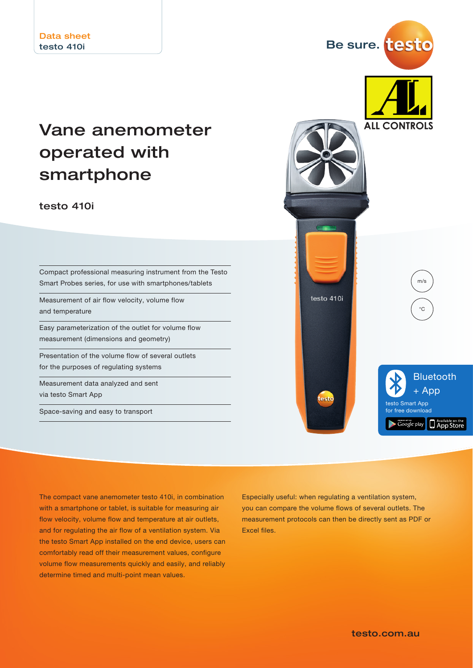# Vane anemometer operated with smartphone

testo 410i

Compact professional measuring instrument from the Testo Smart Probes series, for use with smartphones/tablets

Measurement of air flow velocity, volume flow and temperature

Easy parameterization of the outlet for volume flow measurement (dimensions and geometry)

Presentation of the volume flow of several outlets for the purposes of regulating systems

Measurement data analyzed and sent via testo Smart App

Space-saving and easy to transport



The compact vane anemometer testo 410i, in combination with a smartphone or tablet, is suitable for measuring air flow velocity, volume flow and temperature at air outlets, and for regulating the air flow of a ventilation system. Via the testo Smart App installed on the end device, users can comfortably read off their measurement values, configure volume flow measurements quickly and easily, and reliably determine timed and multi-point mean values.

Especially useful: when regulating a ventilation system, you can compare the volume flows of several outlets. The measurement protocols can then be directly sent as PDF or Excel files.